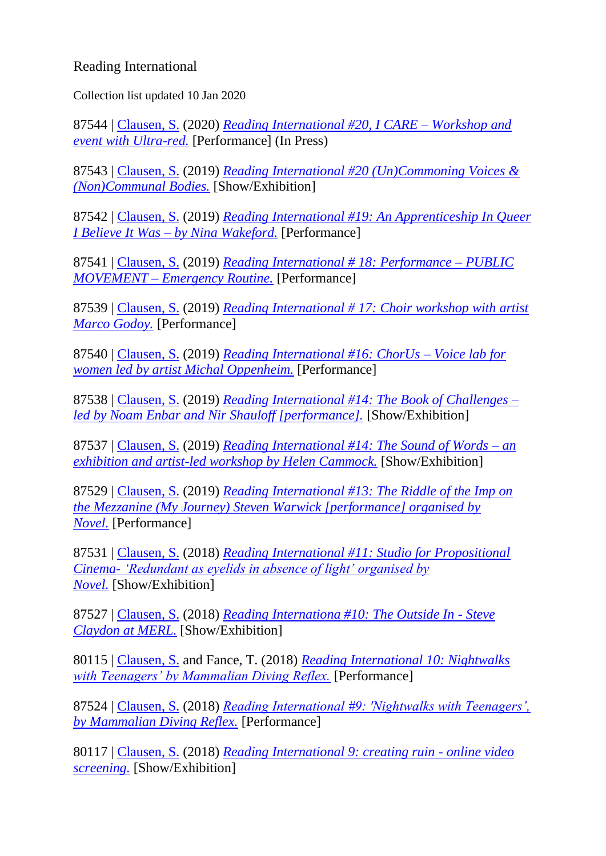## Reading International

Collection list updated 10 Jan 2020

87544 | [Clausen, S.](http://centaur.reading.ac.uk/view/creators/90002001.html) (2020) *[Reading International #20, I CARE –](http://centaur.reading.ac.uk/87544/) Workshop and [event with Ultra-red.](http://centaur.reading.ac.uk/87544/)* [Performance] (In Press)

87543 | [Clausen, S.](http://centaur.reading.ac.uk/view/creators/90002001.html) (2019) *[Reading International #20 \(Un\)Commoning Voices &](http://centaur.reading.ac.uk/87543/)  [\(Non\)Communal Bodies.](http://centaur.reading.ac.uk/87543/)* [Show/Exhibition]

87542 | [Clausen, S.](http://centaur.reading.ac.uk/view/creators/90002001.html) (2019) *[Reading International #19: An Apprenticeship In Queer](http://centaur.reading.ac.uk/87542/)  I Believe It Was – [by Nina Wakeford.](http://centaur.reading.ac.uk/87542/)* [Performance]

87541 | [Clausen, S.](http://centaur.reading.ac.uk/view/creators/90002001.html) (2019) *[Reading International # 18: Performance –](http://centaur.reading.ac.uk/87541/) PUBLIC MOVEMENT – [Emergency Routine.](http://centaur.reading.ac.uk/87541/)* [Performance]

87539 | [Clausen, S.](http://centaur.reading.ac.uk/view/creators/90002001.html) (2019) *[Reading International # 17: Choir workshop with artist](http://centaur.reading.ac.uk/87539/)  [Marco Godoy.](http://centaur.reading.ac.uk/87539/)* [Performance]

87540 | [Clausen, S.](http://centaur.reading.ac.uk/view/creators/90002001.html) (2019) *[Reading International #16: ChorUs –](http://centaur.reading.ac.uk/87540/) Voice lab for [women led by artist Michal Oppenheim.](http://centaur.reading.ac.uk/87540/)* [Performance]

87538 | [Clausen, S.](http://centaur.reading.ac.uk/view/creators/90002001.html) (2019) *[Reading International #14: The Book of Challenges –](http://centaur.reading.ac.uk/87538/) [led by Noam Enbar and Nir Shauloff \[performance\].](http://centaur.reading.ac.uk/87538/)* [Show/Exhibition]

87537 | [Clausen, S.](http://centaur.reading.ac.uk/view/creators/90002001.html) (2019) *[Reading International #14: The Sound of Words –](http://centaur.reading.ac.uk/87537/) an [exhibition and artist-led workshop by Helen Cammock.](http://centaur.reading.ac.uk/87537/)* [Show/Exhibition]

87529 | [Clausen, S.](http://centaur.reading.ac.uk/view/creators/90002001.html) (2019) *[Reading International #13: The Riddle of the Imp on](http://centaur.reading.ac.uk/87529/)  [the Mezzanine \(My Journey\) Steven Warwick \[performance\] organised by](http://centaur.reading.ac.uk/87529/)  [Novel.](http://centaur.reading.ac.uk/87529/)* [Performance]

87531 | [Clausen, S.](http://centaur.reading.ac.uk/view/creators/90002001.html) (2018) *[Reading International #11: Studio for Propositional](http://centaur.reading.ac.uk/87531/)  Cinema- ['Redundant as eyelids in absence of light' organised by](http://centaur.reading.ac.uk/87531/)  [Novel.](http://centaur.reading.ac.uk/87531/)* [Show/Exhibition]

87527 | [Clausen, S.](http://centaur.reading.ac.uk/view/creators/90002001.html) (2018) *[Reading Internationa #10: The Outside In -](http://centaur.reading.ac.uk/87527/) Steve [Claydon at MERL.](http://centaur.reading.ac.uk/87527/)* [Show/Exhibition]

80115 | [Clausen, S.](http://centaur.reading.ac.uk/view/creators/90002001.html) and Fance, T. (2018) *[Reading International 10: Nightwalks](http://centaur.reading.ac.uk/80115/)  [with Teenagers' by Mammalian Diving Reflex.](http://centaur.reading.ac.uk/80115/)* [Performance]

87524 | [Clausen, S.](http://centaur.reading.ac.uk/view/creators/90002001.html) (2018) *[Reading International #9: 'Nightwalks with Teenagers',](http://centaur.reading.ac.uk/87524/)  [by Mammalian Diving Reflex.](http://centaur.reading.ac.uk/87524/)* [Performance]

80117 | [Clausen, S.](http://centaur.reading.ac.uk/view/creators/90002001.html) (2018) *[Reading International 9: creating ruin -](http://centaur.reading.ac.uk/80117/) online video [screening.](http://centaur.reading.ac.uk/80117/)* [Show/Exhibition]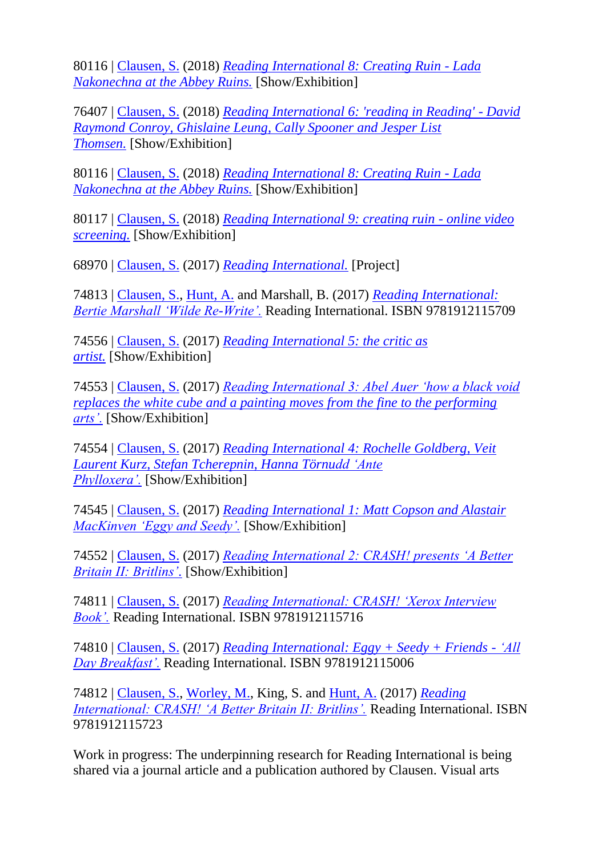80116 | [Clausen, S.](http://centaur.reading.ac.uk/view/creators/90002001.html) (2018) *[Reading International 8: Creating Ruin -](http://centaur.reading.ac.uk/80116/) Lada [Nakonechna at the Abbey Ruins.](http://centaur.reading.ac.uk/80116/)* [Show/Exhibition]

76407 | [Clausen, S.](http://centaur.reading.ac.uk/view/creators/90002001.html) (2018) *[Reading International 6: 'reading in Reading' -](http://centaur.reading.ac.uk/76407/) David [Raymond Conroy, Ghislaine Leung, Cally Spooner and Jesper List](http://centaur.reading.ac.uk/76407/)  [Thomsen.](http://centaur.reading.ac.uk/76407/)* [Show/Exhibition]

80116 | [Clausen, S.](http://centaur.reading.ac.uk/view/creators/90002001.html) (2018) *[Reading International 8: Creating Ruin -](http://centaur.reading.ac.uk/80116/) Lada [Nakonechna at the Abbey Ruins.](http://centaur.reading.ac.uk/80116/)* [Show/Exhibition]

80117 | [Clausen, S.](http://centaur.reading.ac.uk/view/creators/90002001.html) (2018) *[Reading International 9: creating ruin -](http://centaur.reading.ac.uk/80117/) online video [screening.](http://centaur.reading.ac.uk/80117/)* [Show/Exhibition]

68970 | [Clausen, S.](http://centaur.reading.ac.uk/view/creators/90002001.html) (2017) *[Reading International.](http://centaur.reading.ac.uk/68970/)* [Project]

74813 | [Clausen, S.,](http://centaur.reading.ac.uk/view/creators/90002001.html) [Hunt, A.](http://centaur.reading.ac.uk/view/creators/90008090.html) and Marshall, B. (2017) *[Reading International:](http://centaur.reading.ac.uk/74813/)  [Bertie Marshall 'Wilde Re-Write'.](http://centaur.reading.ac.uk/74813/)* Reading International. ISBN 9781912115709

74556 | [Clausen, S.](http://centaur.reading.ac.uk/view/creators/90002001.html) (2017) *[Reading International 5: the critic as](http://centaur.reading.ac.uk/74556/)  [artist.](http://centaur.reading.ac.uk/74556/)* [Show/Exhibition]

74553 | [Clausen, S.](http://centaur.reading.ac.uk/view/creators/90002001.html) (2017) *[Reading International 3: Abel Auer 'how a black void](http://centaur.reading.ac.uk/74553/)  [replaces the white cube and a painting moves from the fine to the performing](http://centaur.reading.ac.uk/74553/)  [arts'.](http://centaur.reading.ac.uk/74553/)* [Show/Exhibition]

74554 | [Clausen, S.](http://centaur.reading.ac.uk/view/creators/90002001.html) (2017) *[Reading International 4: Rochelle Goldberg, Veit](http://centaur.reading.ac.uk/74554/)  [Laurent Kurz, Stefan Tcherepnin, Hanna Törnudd 'Ante](http://centaur.reading.ac.uk/74554/)  [Phylloxera'.](http://centaur.reading.ac.uk/74554/)* [Show/Exhibition]

74545 | [Clausen, S.](http://centaur.reading.ac.uk/view/creators/90002001.html) (2017) *[Reading International 1: Matt Copson and Alastair](http://centaur.reading.ac.uk/74545/)  [MacKinven 'Eggy and Seedy'.](http://centaur.reading.ac.uk/74545/)* [Show/Exhibition]

74552 | [Clausen, S.](http://centaur.reading.ac.uk/view/creators/90002001.html) (2017) *[Reading International 2: CRASH! presents 'A Better](http://centaur.reading.ac.uk/74552/)  [Britain II: Britlins'.](http://centaur.reading.ac.uk/74552/)* [Show/Exhibition]

74811 | [Clausen, S.](http://centaur.reading.ac.uk/view/creators/90002001.html) (2017) *[Reading International: CRASH! 'Xerox Interview](http://centaur.reading.ac.uk/74811/)  [Book'.](http://centaur.reading.ac.uk/74811/)* Reading International. ISBN 9781912115716

74810 | [Clausen, S.](http://centaur.reading.ac.uk/view/creators/90002001.html) (2017) *[Reading International: Eggy + Seedy + Friends -](http://centaur.reading.ac.uk/74810/) 'All [Day Breakfast'.](http://centaur.reading.ac.uk/74810/)* Reading International. ISBN 9781912115006

74812 | [Clausen, S.,](http://centaur.reading.ac.uk/view/creators/90002001.html) [Worley, M.,](http://centaur.reading.ac.uk/view/creators/90002185.html) King, S. and [Hunt, A.](http://centaur.reading.ac.uk/view/creators/90008090.html) (2017) *[Reading](http://centaur.reading.ac.uk/74812/)  [International: CRASH! 'A Better Britain II: Britlins'.](http://centaur.reading.ac.uk/74812/)* Reading International. ISBN 9781912115723

Work in progress: The underpinning research for Reading International is being shared via a journal article and a publication authored by Clausen. Visual arts